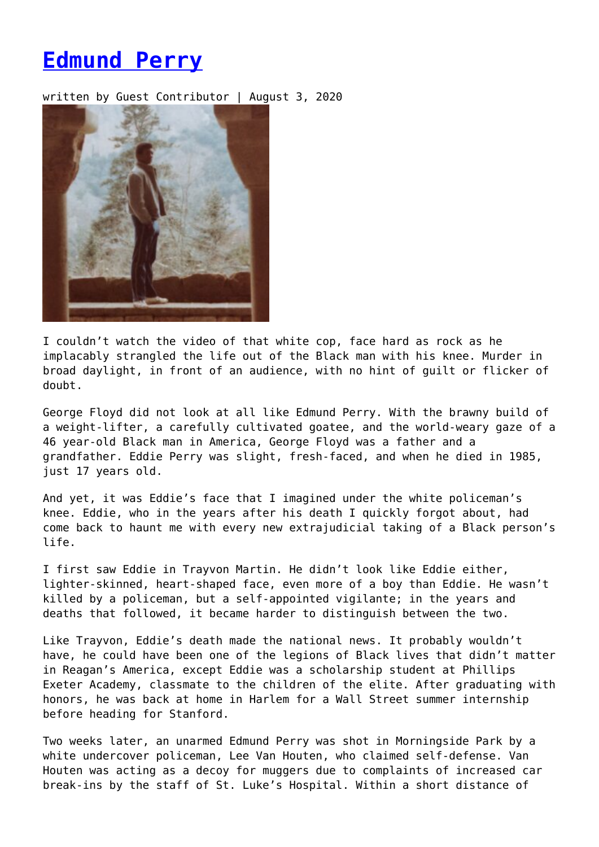## **[Edmund Perry](https://entropymag.org/eddie-perry/)**

written by Guest Contributor | August 3, 2020



I couldn't watch the video of that white cop, face hard as rock as he implacably strangled the life out of the Black man with his knee. Murder in broad daylight, in front of an audience, with no hint of guilt or flicker of doubt.

George Floyd did not look at all like Edmund Perry. With the brawny build of a weight-lifter, a carefully cultivated goatee, and the world-weary gaze of a 46 year-old Black man in America, George Floyd was a father and a grandfather. Eddie Perry was slight, fresh-faced, and when he died in 1985, just 17 years old.

And yet, it was Eddie's face that I imagined under the white policeman's knee. Eddie, who in the years after his death I quickly forgot about, had come back to haunt me with every new extrajudicial taking of a Black person's life.

I first saw Eddie in Trayvon Martin. He didn't look like Eddie either, lighter-skinned, heart-shaped face, even more of a boy than Eddie. He wasn't killed by a policeman, but a self-appointed vigilante; in the years and deaths that followed, it became harder to distinguish between the two.

Like Trayvon, Eddie's death made the national news. It probably wouldn't have, he could have been one of the legions of Black lives that didn't matter in Reagan's America, except Eddie was a scholarship student at Phillips Exeter Academy, classmate to the children of the elite. After graduating with honors, he was back at home in Harlem for a Wall Street summer internship before heading for Stanford.

Two weeks later, an unarmed Edmund Perry was shot in Morningside Park by a white undercover policeman, Lee Van Houten, who claimed self-defense. Van Houten was acting as a decoy for muggers due to complaints of increased car break-ins by the staff of St. Luke's Hospital. Within a short distance of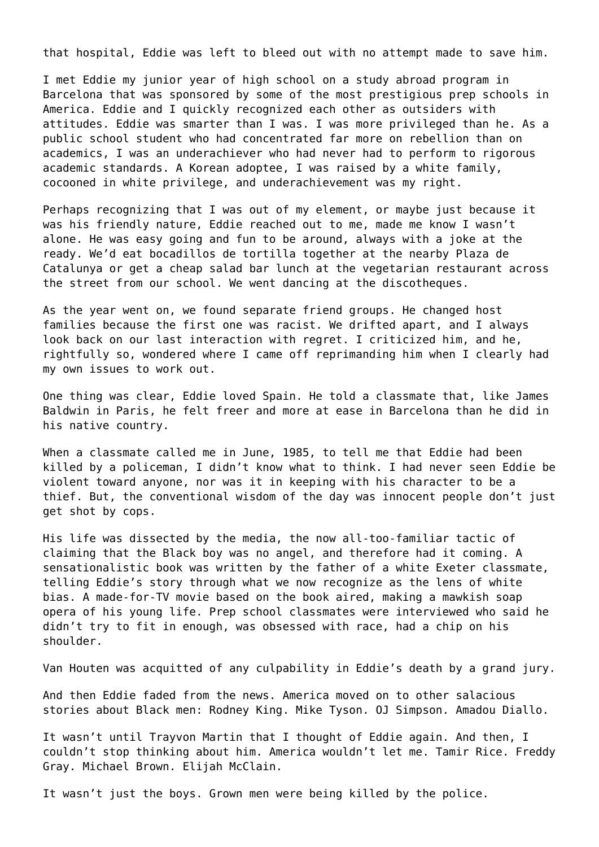that hospital, Eddie was left to bleed out with no attempt made to save him.

I met Eddie my junior year of high school on a study abroad program in Barcelona that was sponsored by some of the most prestigious prep schools in America. Eddie and I quickly recognized each other as outsiders with attitudes. Eddie was smarter than I was. I was more privileged than he. As a public school student who had concentrated far more on rebellion than on academics, I was an underachiever who had never had to perform to rigorous academic standards. A Korean adoptee, I was raised by a white family, cocooned in white privilege, and underachievement was my right.

Perhaps recognizing that I was out of my element, or maybe just because it was his friendly nature, Eddie reached out to me, made me know I wasn't alone. He was easy going and fun to be around, always with a joke at the ready. We'd eat bocadillos de tortilla together at the nearby Plaza de Catalunya or get a cheap salad bar lunch at the vegetarian restaurant across the street from our school. We went dancing at the discotheques.

As the year went on, we found separate friend groups. He changed host families because the first one was racist. We drifted apart, and I always look back on our last interaction with regret. I criticized him, and he, rightfully so, wondered where I came off reprimanding him when I clearly had my own issues to work out.

One thing was clear, Eddie loved Spain. He told a classmate that, like James Baldwin in Paris, he felt freer and more at ease in Barcelona than he did in his native country.

When a classmate called me in June, 1985, to tell me that Eddie had been killed by a policeman, I didn't know what to think. I had never seen Eddie be violent toward anyone, nor was it in keeping with his character to be a thief. But, the conventional wisdom of the day was innocent people don't just get shot by cops.

His life was dissected by the media, the now all-too-familiar tactic of claiming that the Black boy was no angel, and therefore had it coming. A sensationalistic book was written by the father of a white Exeter classmate, telling Eddie's story through what we now recognize as the lens of white bias. A made-for-TV movie based on the book aired, making a mawkish soap opera of his young life. Prep school classmates were interviewed who said he didn't try to fit in enough, was obsessed with race, had a chip on his shoulder.

Van Houten was acquitted of any culpability in Eddie's death by a grand jury.

And then Eddie faded from the news. America moved on to other salacious stories about Black men: Rodney King. Mike Tyson. OJ Simpson. Amadou Diallo.

It wasn't until Trayvon Martin that I thought of Eddie again. And then, I couldn't stop thinking about him. America wouldn't let me. Tamir Rice. Freddy Gray. Michael Brown. Elijah McClain.

It wasn't just the boys. Grown men were being killed by the police.